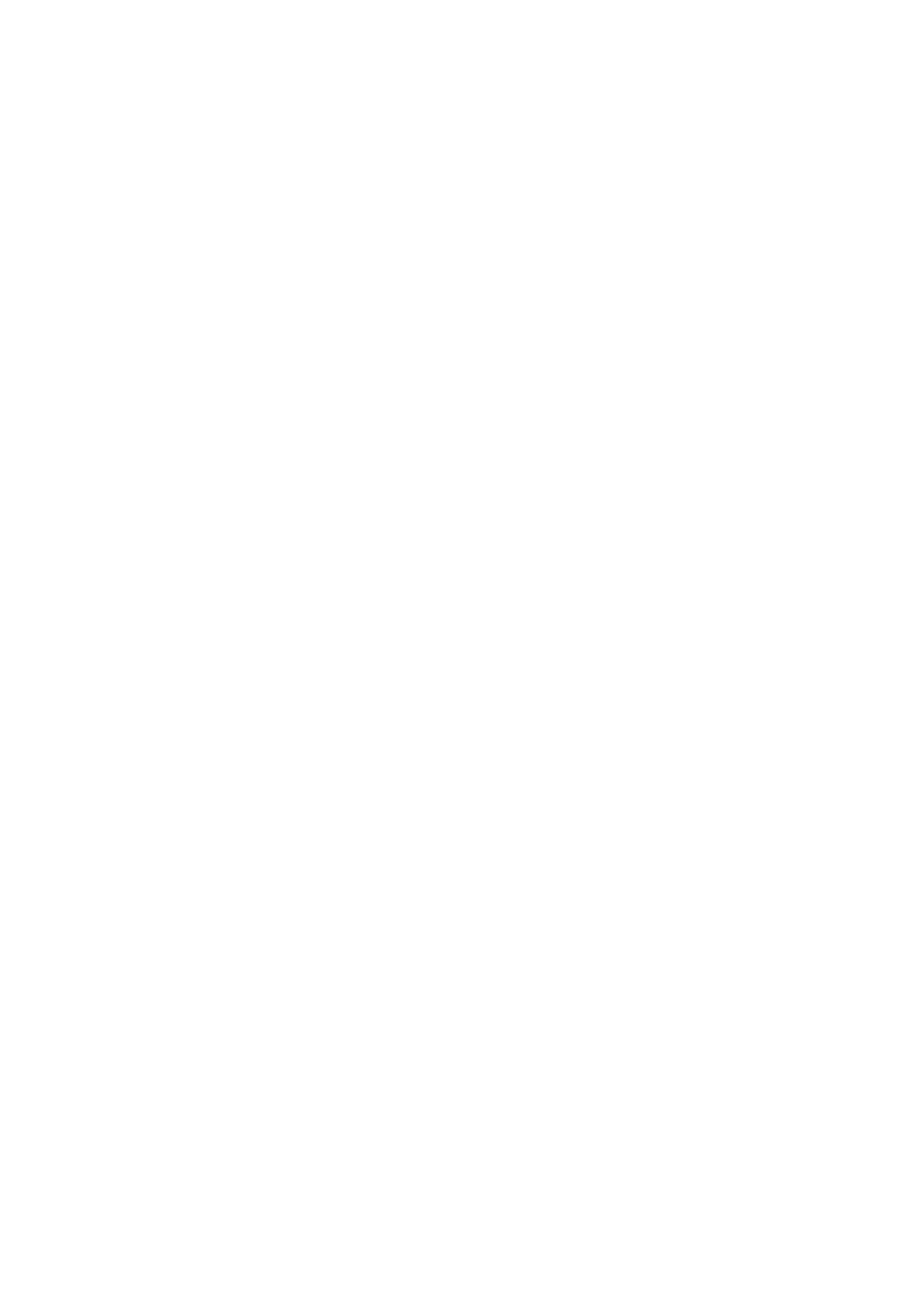# Winter Meeting **19 – 20 January 2017**

XX XX XX XX

**XX** 

**MR** 

**207th Scientific Meeting of the Pathological Society of Great Britain & Ireland Hosted by the Department of Cellular Pathology • Barts & The London Medical School & NHS Trust**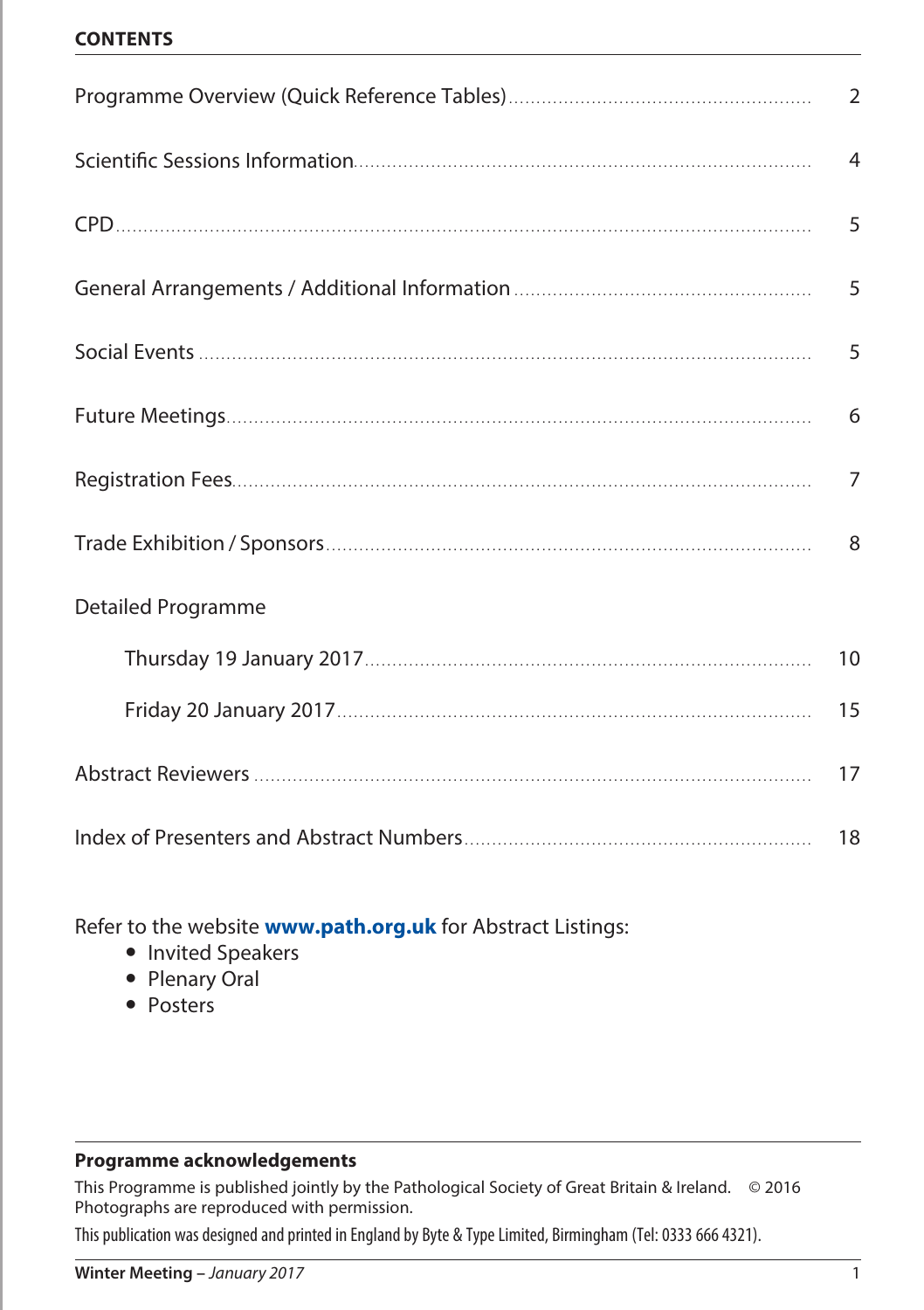#### **CONTENTS**

|                    | 2              |
|--------------------|----------------|
|                    | $\overline{4}$ |
|                    | 5              |
|                    | 5              |
|                    | 5              |
|                    | 6              |
|                    | 7              |
|                    | 8              |
| Detailed Programme |                |
|                    | 10             |
|                    | 15             |
|                    | 17             |
|                    | 18             |

Refer to the website **[www.path.org.uk](http://www.pathsoc.org)** for Abstract Listings:

- Invited Speakers
- Plenary Oral
- Posters

#### **Programme acknowledgements**

This Programme is published jointly by the Pathological Society of Great Britain & Ireland. © 2016 Photographs are reproduced with permission.

This publication was designed and printed in England by Byte & Type Limited, Birmingham (Tel: 0333 666 4321).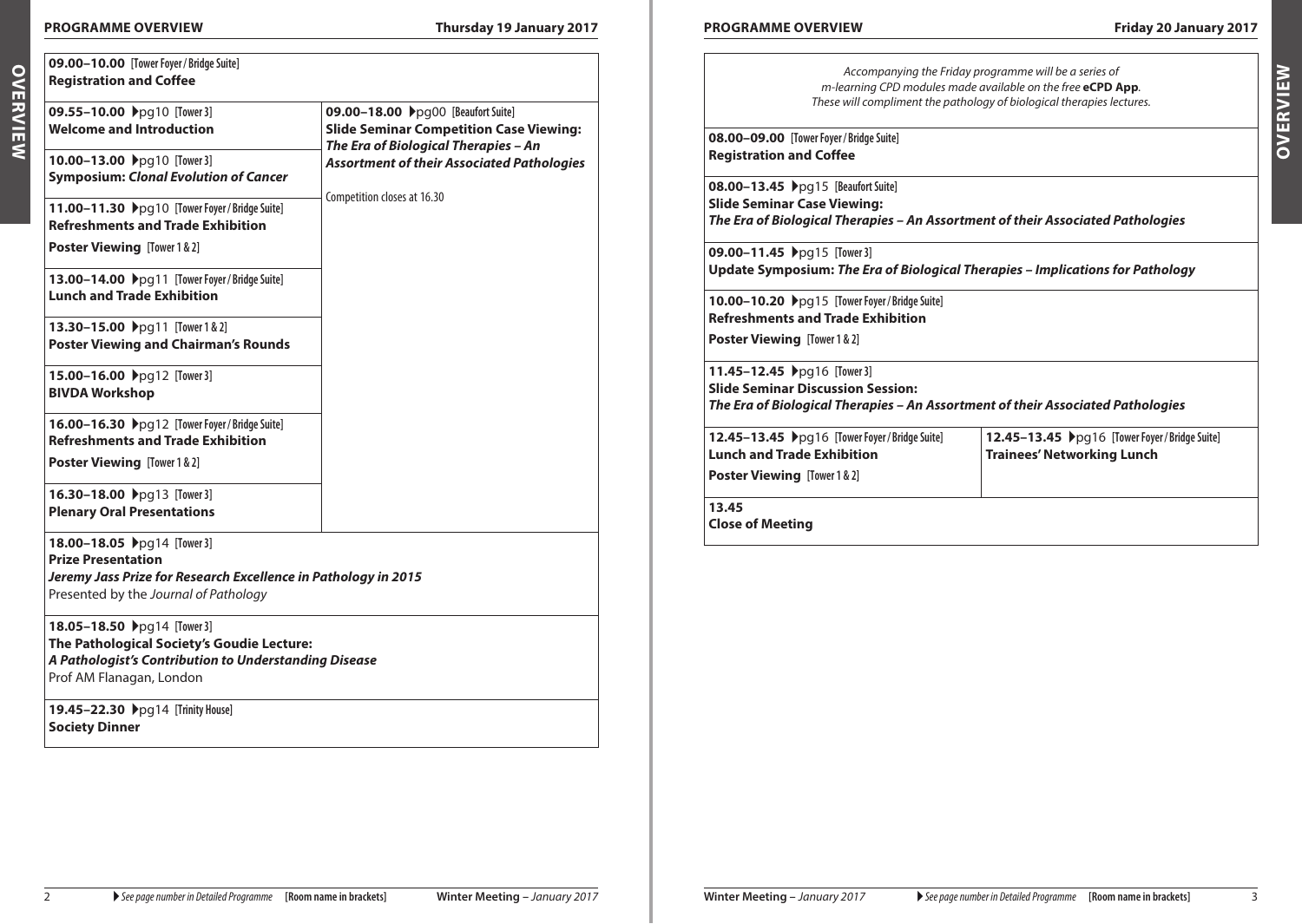**Overview**

OVERVIEW

**09.00–10.00 [Tower Foyer/ Bridge Suite]**

**Programme Overview Thursday 19 January 2017 Programme Overview Friday 20 January 2017** *Accompanying the Friday programme will be a series of*  OVERVIEW **Overview***m-learning CPD modules made available on the free* **eCPD App***. These will compliment the pathology of biological therapies lectures. The Era of Biological Therapies – An Assortment of their Associated Pathologies* **Update Symposium:** *The Era of Biological Therapies – Implications for Pathology*

**12.45−13.45**  $\rho$ pq16 [Tower Foyer / Bridge Suite]

**Trainees' Networking Lunch**

**Registration and Coffee 09.55–10.00 ▶**pa10 [Tower 3] **Welcome and Introduction 09.00–18.00 ▶**pq00 **[Beaufort Suite] Slide Seminar Competition Case Viewing:** *The Era of Biological Therapies – An Assortment of their Associated Pathologies* Competition closes at 16.30 **10.00−13.00**  $\rho$ pq10 **[Tower 3] Symposium:** *Clonal Evolution of Cancer* **11.00−11.30**  $\rho$ pq10 [Tower Foyer / Bridge Suite] **Refreshments and Trade Exhibition Poster Viewing [Tower 1 & 2] 13.00−14.00**  $\rho q11$  [Tower Foyer / Bridge Suite] **Lunch and Trade Exhibition 13.30−15.00**  $\rho$ pq11 [Tower 1&2] **Poster Viewing and Chairman's Rounds 15.00−16.00**  $\rho$ pq12 [Tower 3] **BIVDA Workshop 16.00−16.30**  $\rho$ pq12 [Tower Foyer / Bridge Suite] **Refreshments and Trade Exhibition Poster Viewing [Tower 1 & 2] 16.30−18.00**  $\blacktriangleright$  pa13 **[Tower 3] Plenary Oral Presentations 18.00−18.05**  $\blacktriangleright$  pg14 **[Tower 3] Prize Presentation** *Jeremy Jass Prize for Research Excellence in Pathology in 2015*  Presented by the *Journal of Pathology*  **18.05−18.50**  $\rho$ pq14 [Tower 3] **The Pathological Society's Goudie Lecture:** *A Pathologist's Contribution to Understanding Disease* Prof AM Flanagan, London **19.45–22.30** ▶ pq14 [Trinity House] **Society Dinner** 

*The Era of Biological Therapies – An Assortment of their Associated Pathologies*

**08.00–09.00 [Tower Foyer/ Bridge Suite] Registration and Coffee**

**08.00−13.45**  $\rho$ pq15 [Beaufort Suite] **Slide Seminar Case Viewing:** 

**09.00−11.45**  $\blacktriangleright$ pa15 **[Tower 3]** 

**Poster Viewing [Tower 1 & 2]**

**11.45−12.45**  $\blacktriangleright$ pa16 [Tower 3] **Slide Seminar Discussion Session:** 

**Lunch and Trade Exhibition Poster Viewing [Tower 1 & 2]**

**13.45**

**Close of Meeting**

**10.00–10.20** ▶pq15 **[Tower Foyer/Bridge Suite] Refreshments and Trade Exhibition**

**12.45–13.45** Apg16 **[Tower Foyer/ Bridge Suite]**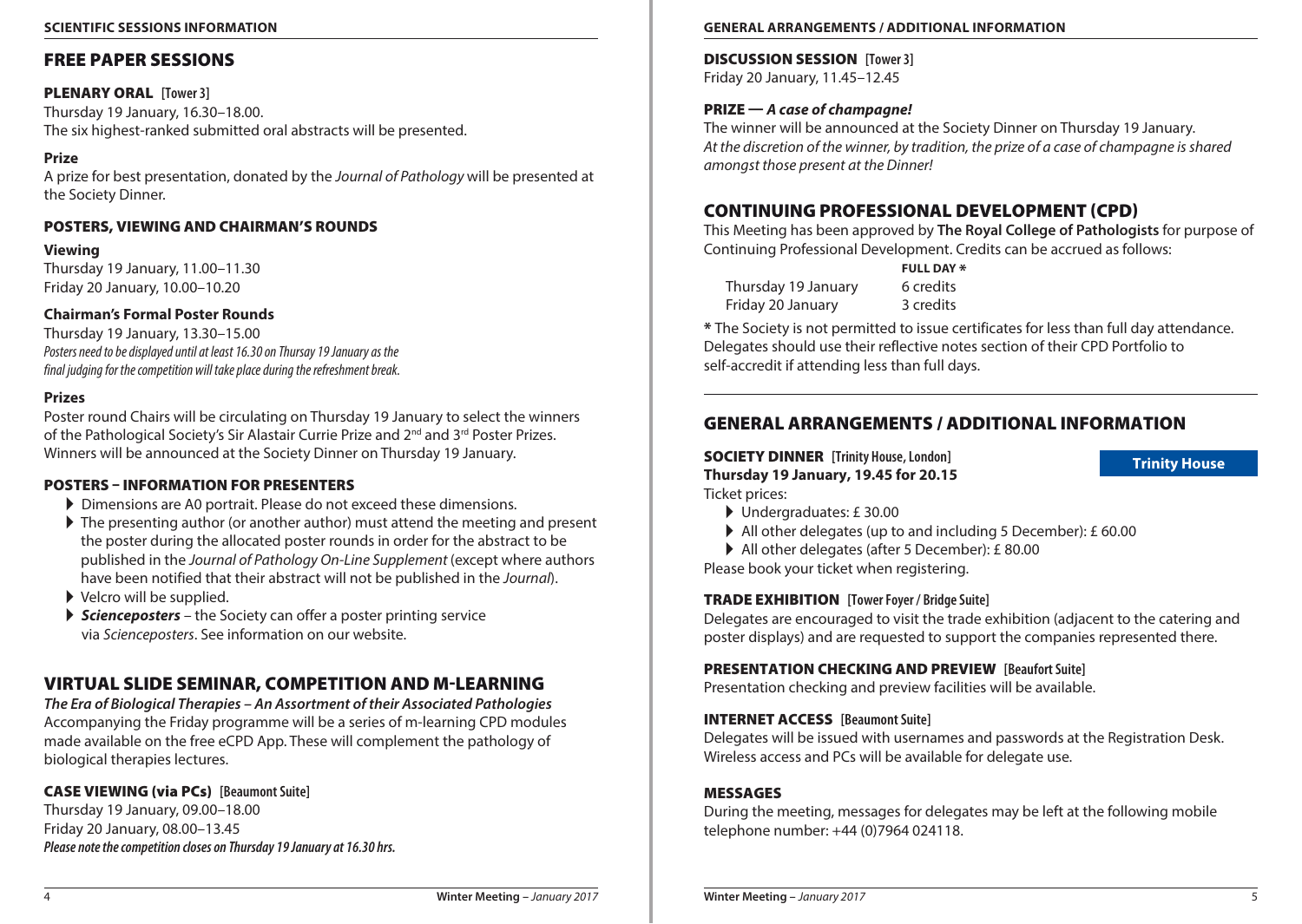## Free Paper Sessions

**PLENARY ORAL [Tower 3]** Thursday 19 January, 16.30–18.00. The six highest-ranked submitted oral abstracts will be presented.

#### **Prize**

A prize for best presentation, donated by the *Journal of Pathology* will be presented at the Society Dinner.

## Posters, Viewing and Chairman's Rounds

#### **Viewing**

Thursday 19 January, 11.00–11.30 Friday 20 January, 10.00–10.20

### **Chairman's Formal Poster Rounds**

Thursday 19 January, 13.30–15.00 *Posters need to be displayed until at least 16.30 on Thursay 19 January as the final judging for the competition will take place during the refreshment break.*

### **Prizes**

Poster round Chairs will be circulating on Thursday 19 January to select the winners of the Pathological Society's Sir Alastair Currie Prize and 2<sup>nd</sup> and 3<sup>rd</sup> Poster Prizes. Winners will be announced at the Society Dinner on Thursday 19 January.

### Posters – Information for presenters

- A Dimensions are A0 portrait. Please do not exceed these dimensions.
- $\blacktriangleright$  The presenting author (or another author) must attend the meeting and present the poster during the allocated poster rounds in order for the abstract to be published in the *Journal of Pathology On-Line Supplement* (except where authors have been notified that their abstract will not be published in the *Journal*).
- $\blacktriangleright$  Velcro will be supplied.
- A *Scienceposters* the Society can offer a poster printing service via *Scienceposters*. See information on our website.

## Virtual Slide Seminar, Competition and M-Learning

*The Era of Biological Therapies – An Assortment of their Associated Pathologies* Accompanying the Friday programme will be a series of m-learning CPD modules made available on the free eCPD App. These will complement the pathology of biological therapies lectures.

## Case Viewing (via PCs) **[Beaumont Suite]**

Thursday 19 January, 09.00–18.00 Friday 20 January, 08.00–13.45 *Please note the competition closes on Thursday 19 January at 16.30 hrs.*

### **SCIENTIFIC SESSIONS INFORMATION GENERAL ARRANGEMENTS / ADDITIONAL INFORMATION**

#### Discussion Session **[Tower 3]** Friday 20 January, 11.45–12.45

## Prize — *A case of champagne!*

The winner will be announced at the Society Dinner on Thursday 19 January. *At the discretion of the winner, by tradition, the prize of a case of champagne is shared amongst those present at the Dinner!*

## Continuing Professional Development (CPD)

This Meeting has been approved by **The Royal College of Pathologists** for purpose of Continuing Professional Development. Credits can be accrued as follows:

 **Full Day \*** Thursday 19 January 6 credits Friday 20 January 3 credits

**\*** The Society is not permitted to issue certificates for less than full day attendance. Delegates should use their reflective notes section of their CPD Portfolio to self-accredit if attending less than full days.

## GENERAL ARRANGEMENTS / ADDITIONAL INFORMATION

**SOCIETY DINNER [Trinity House, London] Thursday 19 January, 19.45 for 20.15**  Ticket prices:

- $\blacktriangleright$  Undergraduates:  $f$  30.00
- All other delegates (up to and including 5 December):  $£ 60.00$

 $\blacktriangleright$  All other delegates (after 5 December): £ 80.00

Please book your ticket when registering.

### TRade Exhibition **[Tower Foyer / Bridge Suite]**

Delegates are encouraged to visit the trade exhibition (adjacent to the catering and poster displays) and are requested to support the companies represented there.

### **PRESENTATION CHECKING AND PREVIEW [Beaufort Suite]**

Presentation checking and preview facilities will be available.

### **INTERNET ACCESS [Beaumont Suite]**

Delegates will be issued with usernames and passwords at the Registration Desk. Wireless access and PCs will be available for delegate use.

## **MESSAGES**

During the meeting, messages for delegates may be left at the following mobile telephone number: +44 (0)7964 024118.

**[Trinity House](https://www.trinityhouse.co.uk/events-at-trinity-house-london)**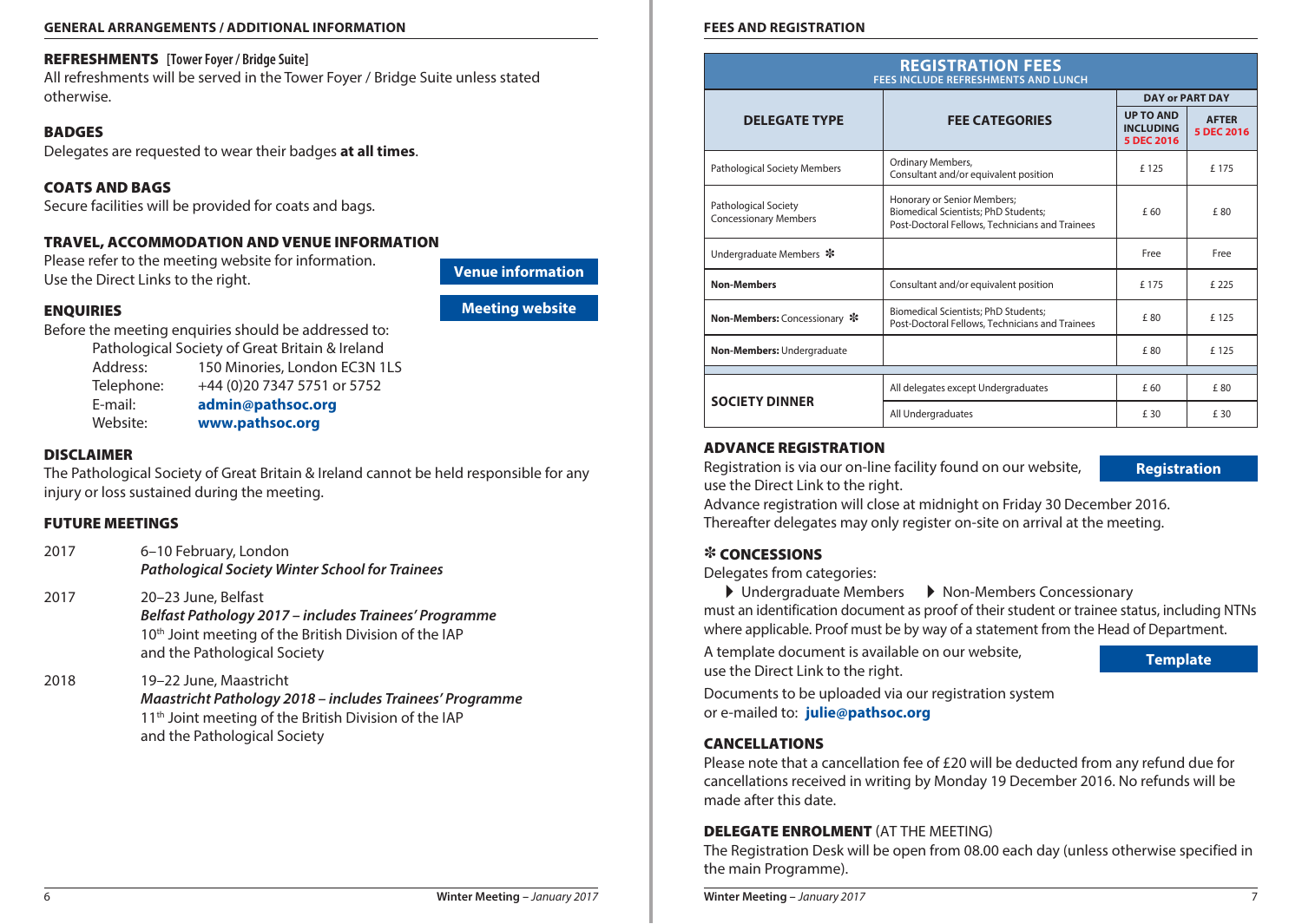#### **GENERAL ARRANGEMENTS / ADDITIONAL INFORMATION FEES AND REGISTRATION**

### Refreshments **[Tower Foyer / Bridge Suite]**

All refreshments will be served in the Tower Foyer / Bridge Suite unless stated otherwise.

#### **BADGES**

Delegates are requested to wear their badges **at all times**.

#### **COATS AND BAGS**

Secure facilities will be provided for coats and bags.

### Travel, Accommodation and Venue Information

Please refer to the meeting website for information. Use the Direct Links to the right.

**[Venue information](http://www.guoman.com/en/hotels/united_kingdom/london/the_tower/location/index.html) [Meeting website](http://www.pathsoc.org/index.php/meetings/society-scientific-meetings)**

#### **ENOUIRIES**

Before the meeting enquiries should be addressed to:

 Pathological Society of Great Britain & Ireland Address: 150 Minories, London EC3N 1LS Telephone: +44 (0)20 7347 5751 or 5752 E-mail: **[admin@pathsoc.org](mailto:admin%40pathsoc.org?subject=Winter%20Meeting%20%28Jan%202017%29%20)** Website: **[www.pathsoc.org](http://www.pathsoc.org)**

#### **DISCLAIMER**

The Pathological Society of Great Britain & Ireland cannot be held responsible for any injury or loss sustained during the meeting.

#### FUTURE MEETINGS

| 2017 | 6-10 February, London<br><b>Pathological Society Winter School for Trainees</b>                                                                                                         |
|------|-----------------------------------------------------------------------------------------------------------------------------------------------------------------------------------------|
| 2017 | 20–23 June, Belfast<br>Belfast Pathology 2017 - includes Trainees' Programme<br>10 <sup>th</sup> Joint meeting of the British Division of the IAP<br>and the Pathological Society       |
| 2018 | 19–22 June, Maastricht<br>Maastricht Pathology 2018 - includes Trainees' Programme<br>11 <sup>th</sup> Joint meeting of the British Division of the IAP<br>and the Pathological Society |

|                                                             | <b>REGISTRATION FEES</b><br><b>FEES INCLUDE REFRESHMENTS AND LUNCH</b>                                                        |                                                    |                            |
|-------------------------------------------------------------|-------------------------------------------------------------------------------------------------------------------------------|----------------------------------------------------|----------------------------|
|                                                             |                                                                                                                               |                                                    | <b>DAY or PART DAY</b>     |
| <b>DELEGATE TYPE</b>                                        | <b>FEE CATEGORIES</b>                                                                                                         | <b>UP TO AND</b><br><b>INCLUDING</b><br>5 DEC 2016 | <b>AFTER</b><br>5 DEC 2016 |
| <b>Pathological Society Members</b>                         | Ordinary Members,<br>Consultant and/or equivalent position                                                                    | £125                                               | £175                       |
| <b>Pathological Society</b><br><b>Concessionary Members</b> | Honorary or Senior Members;<br><b>Biomedical Scientists; PhD Students;</b><br>Post-Doctoral Fellows, Technicians and Trainees | f60                                                | £80                        |
| Undergraduate Members *                                     |                                                                                                                               | Free                                               | Free                       |
| <b>Non-Members</b>                                          | Consultant and/or equivalent position                                                                                         | £175                                               | £ 225                      |
| Non-Members: Concessionary ※                                | Biomedical Scientists; PhD Students;<br>Post-Doctoral Fellows, Technicians and Trainees                                       | £80                                                | £125                       |
| Non-Members: Undergraduate                                  |                                                                                                                               | £80                                                | £125                       |
|                                                             |                                                                                                                               |                                                    |                            |
| <b>SOCIETY DINNER</b>                                       | All delegates except Undergraduates                                                                                           | £ 60                                               | £80                        |
|                                                             | All Undergraduates                                                                                                            | £30                                                | £ 30                       |

### Advance Registration

Registration is via our on-line facility found on our website, use the Direct Link to the right.

**[Registration](https://www5.shocklogic.com/scripts/jmevent/Registration.asp?Client_Id=%27PATHSOC%27&Project_Id=%27WM2017%27&A=&Language_Code=&role)**

Advance registration will close at midnight on Friday 30 December 2016. Thereafter delegates may only register on-site on arrival at the meeting.

## \* CONCESSIONS

Delegates from categories:

 $\blacktriangleright$  Undergraduate Members  $\blacktriangleright$  Non-Members Concessionary

must an identification document as proof of their student or trainee status, including NTNs where applicable. Proof must be by way of a statement from the Head of Department.

A template document is available on our website, use the Direct Link to the right.

**[Template](http://www.pathsoc.org/index.php/meetings/society-scientific-meetings)**

Documents to be uploaded via our registration system or e-mailed to: **[julie@pathsoc.org](mailto:julie%40pathsoc.org?subject=Winter%20Meeting%20%28Jan%202017%29%20Concessions)**

### **CANCELLATIONS**

Please note that a cancellation fee of £20 will be deducted from any refund due for cancellations received in writing by Monday 19 December 2016. No refunds will be made after this date.

### **DELEGATE ENROLMENT** (AT THE MEETING)

The Registration Desk will be open from 08.00 each day (unless otherwise specified in the main Programme).

6 **Winter Meeting –** *January 2017* **Winter Meeting –** *January 2017* 7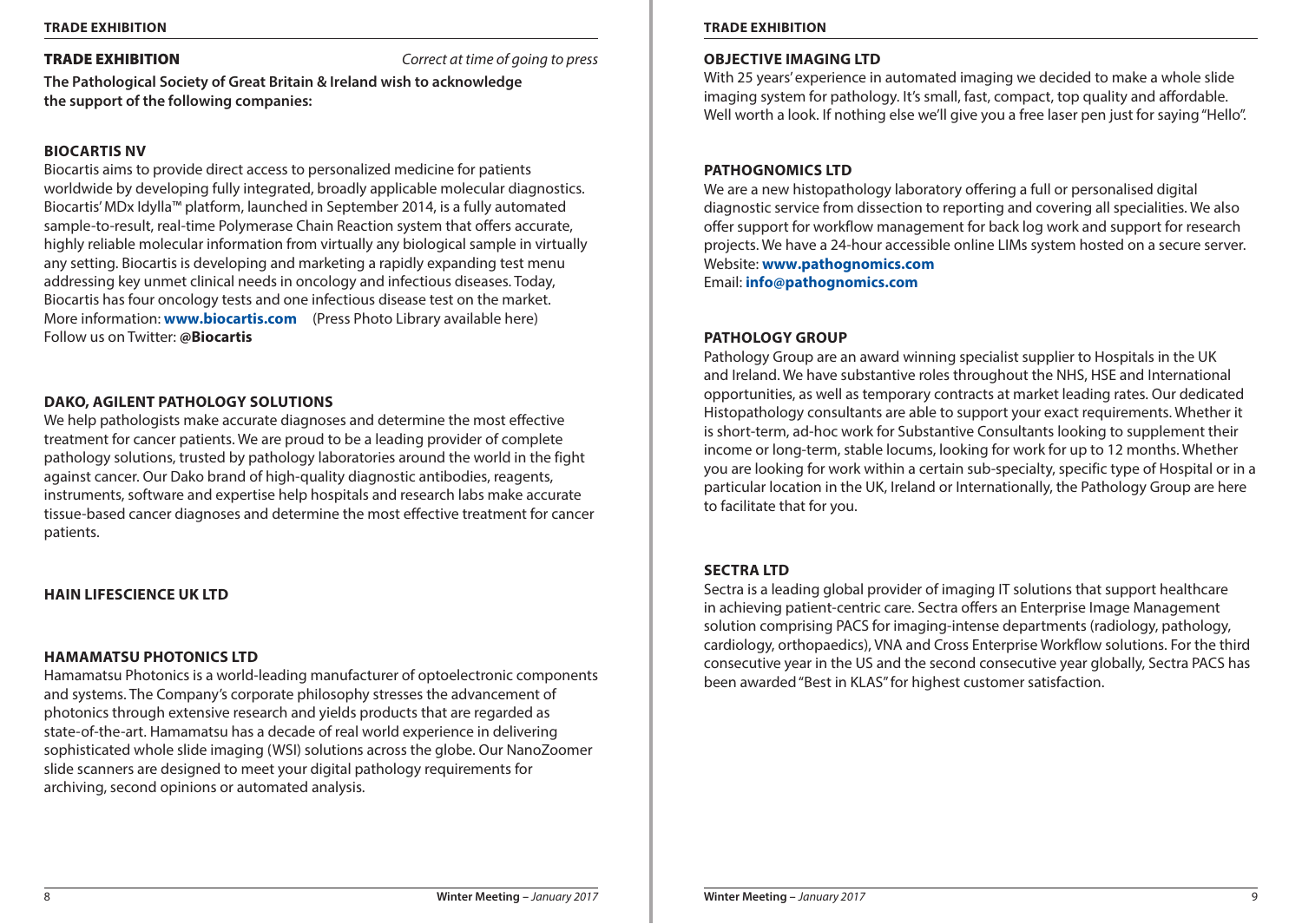Trade Exhibition *Correct at time of going to press*

**The Pathological Society of Great Britain & Ireland wish to acknowledge the support of the following companies:** 

### **Biocartis NV**

Biocartis aims to provide direct access to personalized medicine for patients worldwide by developing fully integrated, broadly applicable molecular diagnostics. Biocartis' MDx Idylla™ platform, launched in September 2014, is a fully automated sample-to-result, real-time Polymerase Chain Reaction system that offers accurate, highly reliable molecular information from virtually any biological sample in virtually any setting. Biocartis is developing and marketing a rapidly expanding test menu addressing key unmet clinical needs in oncology and infectious diseases. Today, Biocartis has four oncology tests and one infectious disease test on the market. More information: **[www.biocartis.com](http://www.biocartis.com)** (Press Photo Library available here) Follow us on Twitter: **@Biocartis**

### **Dako, Agilent Pathology Solutions**

We help pathologists make accurate diagnoses and determine the most effective treatment for cancer patients. We are proud to be a leading provider of complete pathology solutions, trusted by pathology laboratories around the world in the fight against cancer. Our Dako brand of high-quality diagnostic antibodies, reagents, instruments, software and expertise help hospitals and research labs make accurate tissue-based cancer diagnoses and determine the most effective treatment for cancer patients.

### **Hain Lifescience UK Ltd**

### **Hamamatsu Photonics Ltd**

Hamamatsu Photonics is a world-leading manufacturer of optoelectronic components and systems. The Company's corporate philosophy stresses the advancement of photonics through extensive research and yields products that are regarded as state-of-the-art. Hamamatsu has a decade of real world experience in delivering sophisticated whole slide imaging (WSI) solutions across the globe. Our NanoZoomer slide scanners are designed to meet your digital pathology requirements for archiving, second opinions or automated analysis.

#### **Trade Exhibition Trade Exhibition**

#### **OBJECTIVE IMAGING LTD**

With 25 years' experience in automated imaging we decided to make a whole slide imaging system for pathology. It's small, fast, compact, top quality and affordable. Well worth a look. If nothing else we'll give you a free laser pen just for saying "Hello".

#### **PATHOGNOMICS LTD**

We are a new histopathology laboratory offering a full or personalised digital diagnostic service from dissection to reporting and covering all specialities. We also offer support for workflow management for back log work and support for research projects. We have a 24-hour accessible online LIMs system hosted on a secure server. Website: **[www.pathognomics.com](http://www.pathognomics.com)** Email: **[info@pathognomics.com](mailto:info%40pathognomics.com?subject=Path%20Soc%20Winter%20Meeting)**

#### **Pathology Group**

Pathology Group are an award winning specialist supplier to Hospitals in the UK and Ireland. We have substantive roles throughout the NHS, HSE and International opportunities, as well as temporary contracts at market leading rates. Our dedicated Histopathology consultants are able to support your exact requirements. Whether it is short-term, ad-hoc work for Substantive Consultants looking to supplement their income or long-term, stable locums, looking for work for up to 12 months. Whether you are looking for work within a certain sub-specialty, specific type of Hospital or in a particular location in the UK, Ireland or Internationally, the Pathology Group are here to facilitate that for you.

#### **SECTRA LTD**

Sectra is a leading global provider of imaging IT solutions that support healthcare in achieving patient-centric care. Sectra offers an Enterprise Image Management solution comprising PACS for imaging-intense departments (radiology, pathology, cardiology, orthopaedics), VNA and Cross Enterprise Workflow solutions. For the third consecutive year in the US and the second consecutive year globally, Sectra PACS has been awarded "Best in KLAS" for highest customer satisfaction.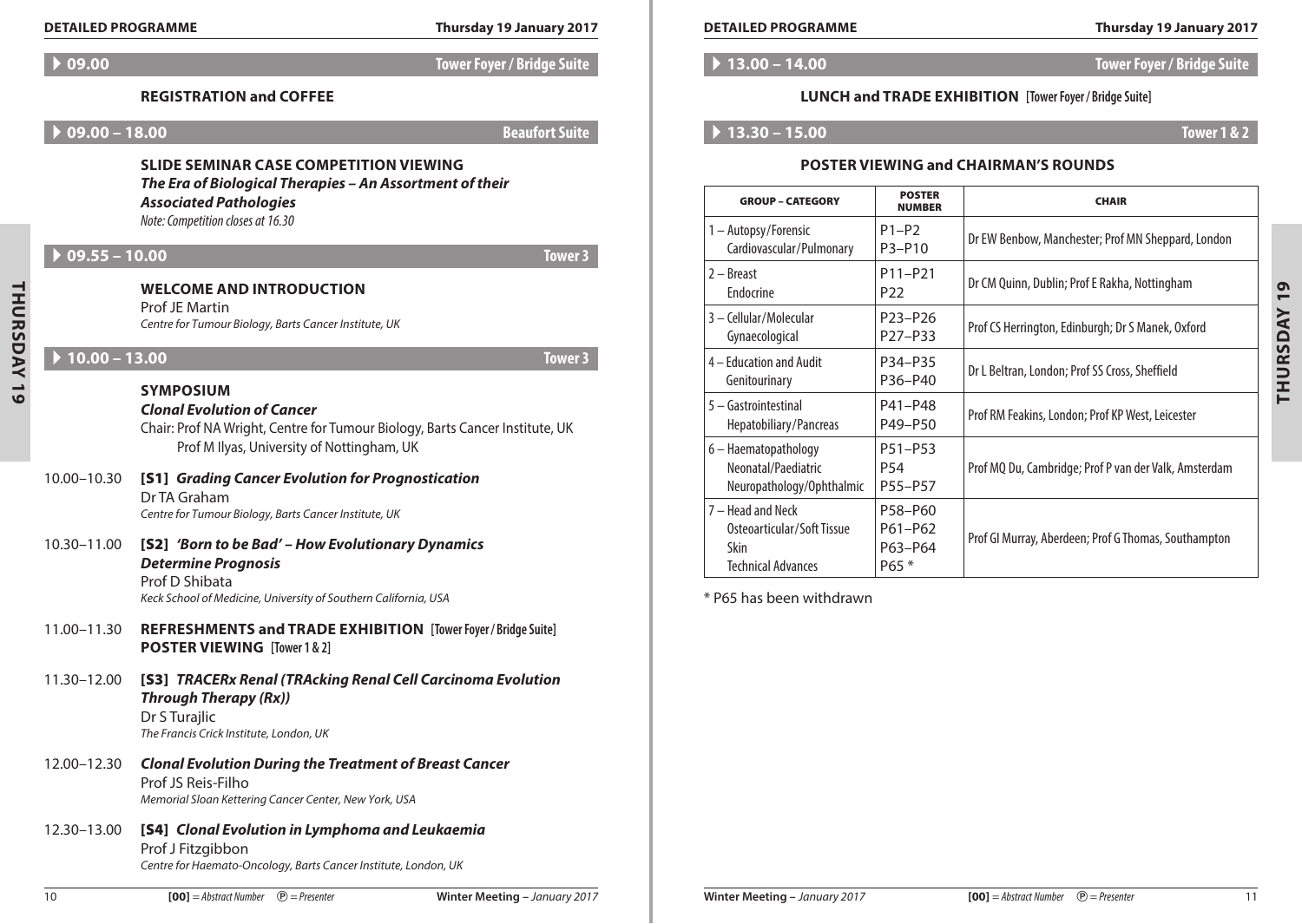**Detailed Programme Thursday 19 January 2017 Detailed Programme Thursday 19 January 2017**

#### A **13.00 – 14.00 Tower Foyer / Bridge Suite**

#### **LUNCH and Trade Exhibition [Tower Foyer/ Bridge Suite]**

### A **13.30 – 15.00 Tower 1 & 2**

#### **Poster Viewing and Chairman's Rounds**

| <b>GROUP - CATEGORY</b>                                                              | <b>POSTER</b><br><b>NUMBER</b>         | <b>CHAIR</b>                                          |                                   |
|--------------------------------------------------------------------------------------|----------------------------------------|-------------------------------------------------------|-----------------------------------|
| 1 - Autopsy/Forensic<br>Cardiovascular/Pulmonary                                     | $P1-P2$<br>P3-P10                      | Dr EW Benbow, Manchester; Prof MN Sheppard, London    |                                   |
| $2 -$ Breast<br>Endocrine                                                            | P11-P21<br>P <sub>22</sub>             | Dr CM Quinn, Dublin; Prof E Rakha, Nottingham         | Q                                 |
| 3 - Cellular/Molecular<br>Gynaecological                                             | P23-P26<br>P27-P33                     | Prof CS Herrington, Edinburgh; Dr S Manek, Oxford     | $\breve{\mathsf{A}}$<br><b>QS</b> |
| 4 – Education and Audit<br>Genitourinary                                             | P34-P35<br>P36-P40                     | Dr L Beltran, London; Prof SS Cross, Sheffield        | œ<br>$\Rightarrow$<br>돌           |
| $5 -$ Gastrointestinal<br>Hepatobiliary/Pancreas                                     | P41-P48<br>P49-P50                     | Prof RM Feakins, London; Prof KP West, Leicester      |                                   |
| 6 - Haematopathology<br>Neonatal/Paediatric<br>Neuropathology/Ophthalmic             | P51-P53<br>P <sub>54</sub><br>P55-P57  | Prof MQ Du, Cambridge; Prof P van der Valk, Amsterdam |                                   |
| 7 - Head and Neck<br>Osteoarticular/Soft Tissue<br>Skin<br><b>Technical Advances</b> | P58-P60<br>P61-P62<br>P63-P64<br>P65 * | Prof GI Murray, Aberdeen; Prof G Thomas, Southampton  |                                   |

\* P65 has been withdrawn

| ۰. |
|----|
|    |
|    |
|    |
|    |
| o  |

A **10.00 – 13.00 Tower 3**

Prof JE Martin

#### **Symposium** *Clonal Evolution of Cancer*

**Registration and coffee**

*Associated Pathologies Note: Competition closes at 16.30*

Chair: Prof NA Wright, Centre for Tumour Biology, Barts Cancer Institute, UK Prof M Ilyas, University of Nottingham, UK

10.00–10.30 [S1] *Grading Cancer Evolution for Prognostication* Dr TA Graham *Centre for Tumour Biology, Barts Cancer Institute, UK*

**Welcome And Introduction**

*Centre for Tumour Biology, Barts Cancer Institute, UK*

- 10.30–11.00 [S2] *'Born to be Bad' How Evolutionary Dynamics Determine Prognosis* Prof D Shibata *Keck School of Medicine, University of Southern California, USA*
- 11.00–11.30 **REFRESHMENTS and Trade Exhibition [Tower Foyer/ Bridge Suite] Poster Viewing [Tower 1 & 2]**
- 11.30–12.00 [S3] *TRACERx Renal (TRAcking Renal Cell Carcinoma Evolution Through Therapy (Rx))* Dr S Turajlic *The Francis Crick Institute, London, UK*
- 12.00–12.30 *Clonal Evolution During the Treatment of Breast Cancer* Prof JS Reis-Filho *Memorial Sloan Kettering Cancer Center, New York, USA*
- 12.30–13.00 [S4] *Clonal Evolution in Lymphoma and Leukaemia* Prof J Fitzgibbon *Centre for Haemato-Oncology, Barts Cancer Institute, London, UK*

## A **09.00 Tower Foyer / Bridge Suite**

## A **09.00 – 18.00 Beaufort Suite**

**Slide Seminar Case Competition Viewing** *The Era of Biological Therapies – An Assortment of their* 

A **09.55 – 10.00 Tower 3**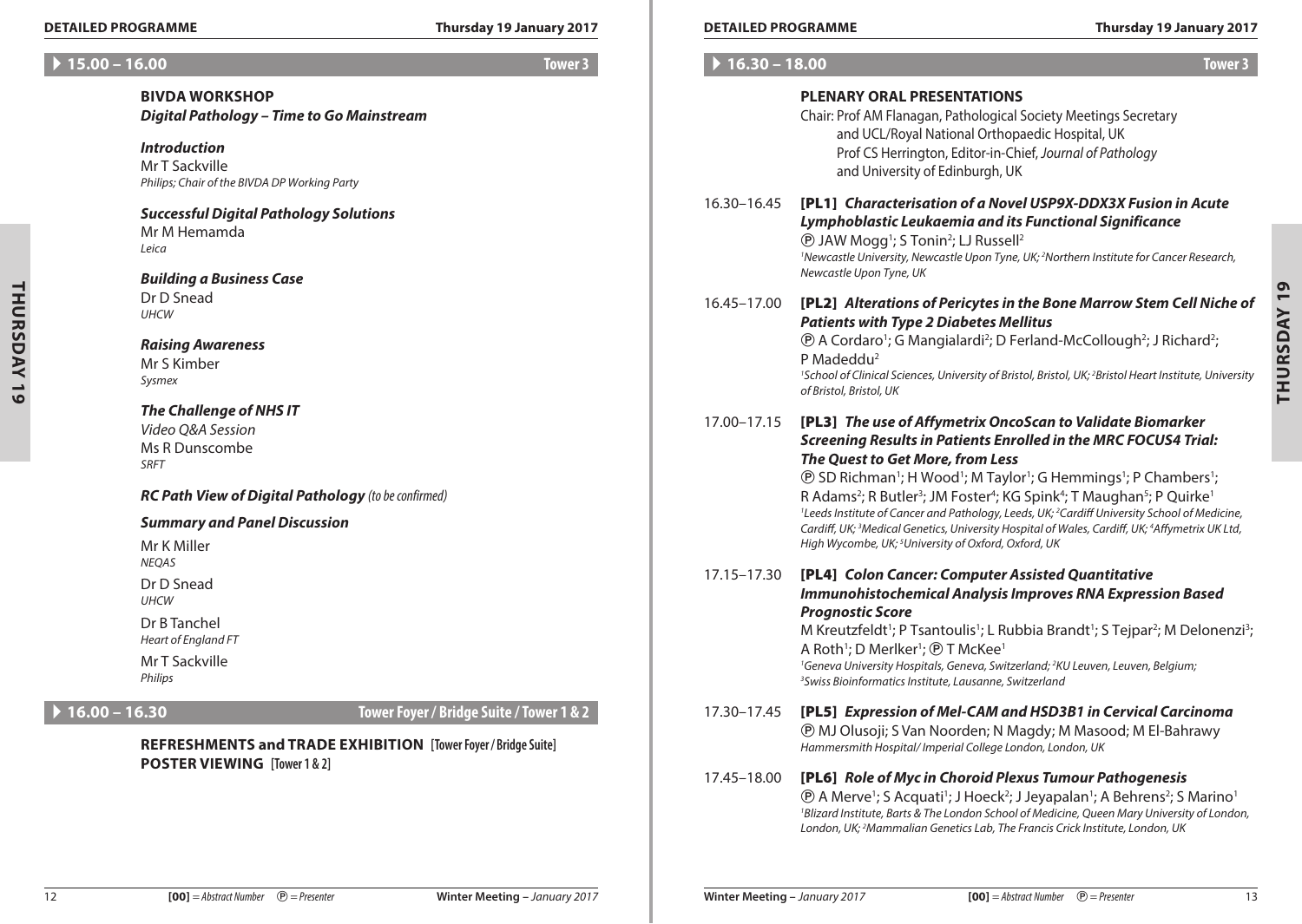### A **15.00 – 16.00 Tower 3**

### **BIVDA Workshop** *Digital Pathology – Time to Go Mainstream*

*Introduction* Mr T Sackville *Philips; Chair of the BIVDA DP Working Party*

*Successful Digital Pathology Solutions* Mr M Hemamda *Leica*

*Building a Business Case* Dr D Snead *UHCW*

*Raising Awareness* Mr S Kimber *Sysmex*

*The Challenge of NHS IT Video Q&A Session* Ms R Dunscombe *SRFT*

## *RC Path View of Digital Pathology (to be confirmed)*

## *Summary and Panel Discussion*

Mr K Miller *NEQAS*

Dr D Snead *UHCW*

Dr B Tanchel

*Heart of England FT*

Mr T Sackville *Philips*

A **16.00 – 16.30 Tower Foyer / Bridge Suite / Tower 1 & 2**

**REFRESHMENTS and Trade Exhibition [Tower Foyer/ Bridge Suite] Poster Viewing [Tower 1 & 2]**

| $\blacktriangleright$ 16.30 - 18.00 | <b>Tower 3</b>                                                                                                                                                                                                                                                                                                                                                                                                                                                                                                                                                                                                                                                                                                                                                                            |
|-------------------------------------|-------------------------------------------------------------------------------------------------------------------------------------------------------------------------------------------------------------------------------------------------------------------------------------------------------------------------------------------------------------------------------------------------------------------------------------------------------------------------------------------------------------------------------------------------------------------------------------------------------------------------------------------------------------------------------------------------------------------------------------------------------------------------------------------|
|                                     | <b>PLENARY ORAL PRESENTATIONS</b><br>Chair: Prof AM Flanagan, Pathological Society Meetings Secretary<br>and UCL/Royal National Orthopaedic Hospital, UK<br>Prof CS Herrington, Editor-in-Chief, Journal of Pathology<br>and University of Edinburgh, UK                                                                                                                                                                                                                                                                                                                                                                                                                                                                                                                                  |
| 16.30-16.45                         | [PL1] Characterisation of a Novel USP9X-DDX3X Fusion in Acute<br>Lymphoblastic Leukaemia and its Functional Significance<br><b><i>(D)</i></b> JAW Mogg <sup>1</sup> ; S Tonin <sup>2</sup> ; LJ Russell <sup>2</sup><br><sup>1</sup> Newcastle University, Newcastle Upon Tyne, UK; <sup>2</sup> Northern Institute for Cancer Research,<br>Newcastle Upon Tyne, UK                                                                                                                                                                                                                                                                                                                                                                                                                       |
| 16.45-17.00                         | [PL2] Alterations of Pericytes in the Bone Marrow Stem Cell Niche of<br><b>Patients with Type 2 Diabetes Mellitus</b><br><b>(D)</b> A Cordaro <sup>1</sup> ; G Mangialardi <sup>2</sup> ; D Ferland-McCollough <sup>2</sup> ; J Richard <sup>2</sup> ;<br>P Madeddu <sup>2</sup><br><sup>1</sup> School of Clinical Sciences, University of Bristol, Bristol, UK; <sup>2</sup> Bristol Heart Institute, University<br>of Bristol, Bristol, UK                                                                                                                                                                                                                                                                                                                                             |
| 17.00-17.15                         | [PL3] The use of Affymetrix OncoScan to Validate Biomarker<br><b>Screening Results in Patients Enrolled in the MRC FOCUS4 Trial:</b><br>The Quest to Get More, from Less<br><b>(B)</b> SD Richman <sup>1</sup> ; H Wood <sup>1</sup> ; M Taylor <sup>1</sup> ; G Hemmings <sup>1</sup> ; P Chambers <sup>1</sup> ;<br>R Adams <sup>2</sup> ; R Butler <sup>3</sup> ; JM Foster <sup>4</sup> ; KG Spink <sup>4</sup> ; T Maughan <sup>5</sup> ; P Quirke <sup>1</sup><br><sup>1</sup> Leeds Institute of Cancer and Pathology, Leeds, UK; <sup>2</sup> Cardiff University School of Medicine,<br>Cardiff, UK; <sup>3</sup> Medical Genetics, University Hospital of Wales, Cardiff, UK; <sup>4</sup> Affymetrix UK Ltd,<br>High Wycombe, UK; <sup>5</sup> University of Oxford, Oxford, UK |
| 17.15-17.30                         | [PL4] Colon Cancer: Computer Assisted Quantitative<br><b>Immunohistochemical Analysis Improves RNA Expression Based</b><br><b>Prognostic Score</b><br>M Kreutzfeldt <sup>1</sup> ; P Tsantoulis <sup>1</sup> ; L Rubbia Brandt <sup>1</sup> ; S Tejpar <sup>2</sup> ; M Delonenzi <sup>3</sup> ;<br>A Roth <sup>1</sup> ; D Merlker <sup>1</sup> ; <b>(D)</b> T McKee <sup>1</sup><br><sup>1</sup> Geneva University Hospitals, Geneva, Switzerland; <sup>2</sup> KU Leuven, Leuven, Belgium;<br><sup>3</sup> Swiss Bioinformatics Institute, Lausanne, Switzerland                                                                                                                                                                                                                       |
| 17.30-17.45                         | [PL5] Expression of Mel-CAM and HSD3B1 in Cervical Carcinoma<br><b><i>@ MJ Olusoji; S Van Noorden; N Magdy; M Masood; M El-Bahrawy</i></b><br>Hammersmith Hospital/Imperial College London, London, UK                                                                                                                                                                                                                                                                                                                                                                                                                                                                                                                                                                                    |
| 17.45-18.00                         | [PL6] Role of Myc in Choroid Plexus Tumour Pathogenesis<br><b><i>®</i></b> A Merve <sup>1</sup> ; S Acquati <sup>1</sup> ; J Hoeck <sup>2</sup> ; J Jeyapalan <sup>1</sup> ; A Behrens <sup>2</sup> ; S Marino <sup>1</sup><br><sup>1</sup> Blizard Institute, Barts & The London School of Medicine, Queen Mary University of London,<br>London, UK; <sup>2</sup> Mammalian Genetics Lab, The Francis Crick Institute, London, UK                                                                                                                                                                                                                                                                                                                                                        |
|                                     |                                                                                                                                                                                                                                                                                                                                                                                                                                                                                                                                                                                                                                                                                                                                                                                           |

THURSDAY 19 **THURsday 19**

12 **[00]** *= Abstract Number* P *= Presenter* **Winter Meeting –** *January 2017* **Winter Meeting –** *January 2017* **[00]** *= Abstract Number* P *= Presenter* 13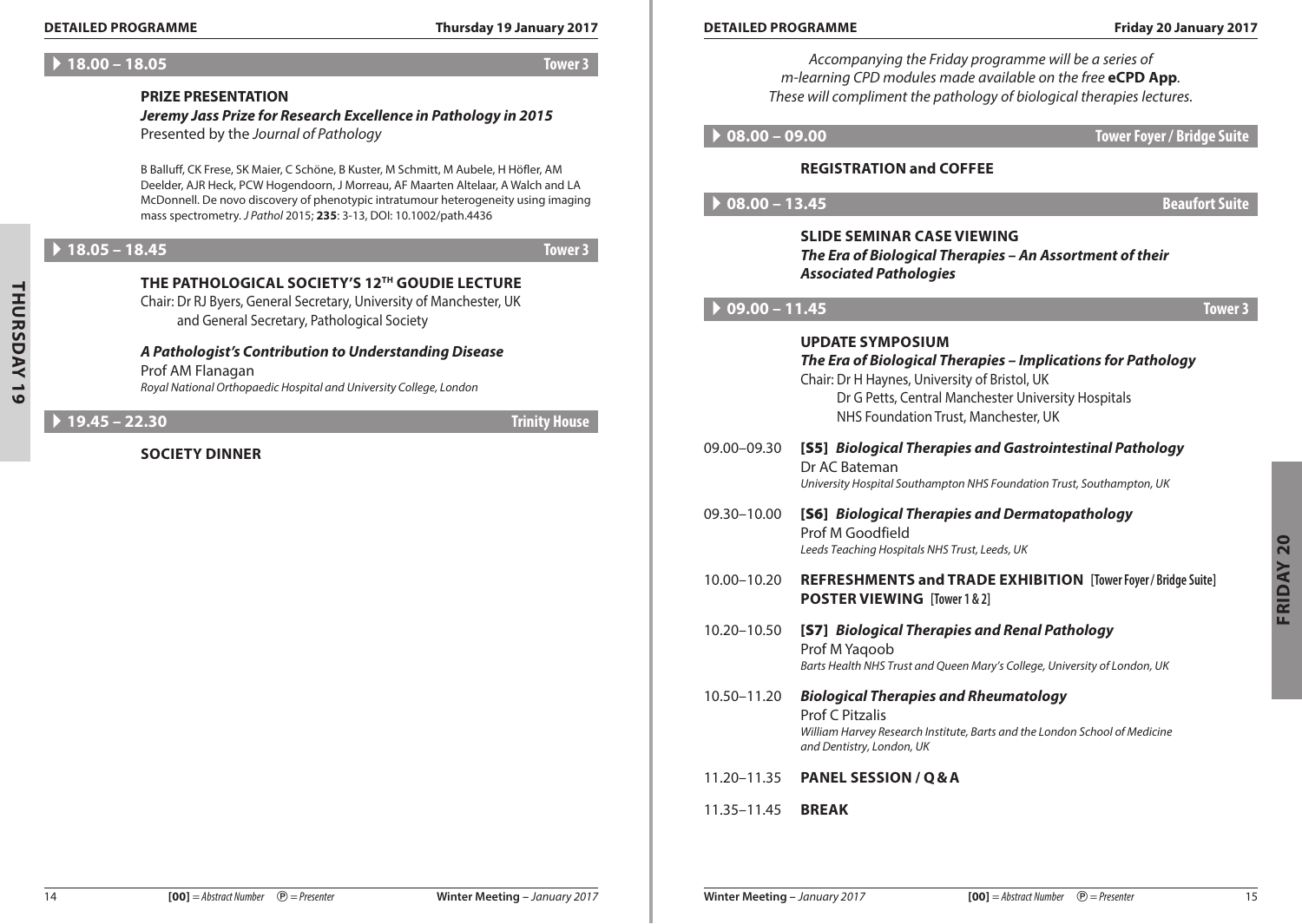**Detailed Programme Thursday 19 January 2017 Detailed Programme Friday 20 January 2017**

#### A **18.00 – 18.05 Tower 3**

### **PRIZE PRESENTATION**

*Jeremy Jass Prize for Research Excellence in Pathology in 2015* Presented by the *Journal of Pathology*

B Balluff, CK Frese, SK Maier, C Schöne, B Kuster, M Schmitt, M Aubele, H Höfler, AM Deelder, AJR Heck, PCW Hogendoorn, J Morreau, AF Maarten Altelaar, A Walch and LA McDonnell. De novo discovery of phenotypic intratumour heterogeneity using imaging mass spectrometry. *J Pathol* 2015; **235**: 3-13, DOI: 10.1002/path.4436

## A **18.05 – 18.45 Tower 3**

THURSDAY 19 **THURsday 19**

**The Pathological Society's 12th Goudie Lecture** Chair: Dr RJ Byers, General Secretary, University of Manchester, UK and General Secretary, Pathological Society

*A Pathologist's Contribution to Understanding Disease*

Prof AM Flanagan *Royal National Orthopaedic Hospital and University College, London*

A **19.45 – 22.30 Trinity House**

### **Society Dinner**

*Accompanying the Friday programme will be a series of m-learning CPD modules made available on the free* **eCPD App***. These will compliment the pathology of biological therapies lectures.*

#### **Registration and coffee**

| $\triangleright$ 08.00 – 13.45 |  |  |  |  |  |  |
|--------------------------------|--|--|--|--|--|--|
|--------------------------------|--|--|--|--|--|--|

A **08.00 – 13.45 Beaufort Suite**

**Slide Seminar Case Viewing** *The Era of Biological Therapies – An Assortment of their Associated Pathologies*

#### A **09.00 – 11.45 Tower 3**

## **UPDATE Symposium** *The Era of Biological Therapies – Implications for Pathology*  Chair: Dr H Haynes, University of Bristol, UK Dr G Petts, Central Manchester University Hospitals NHS Foundation Trust, Manchester, UK 09.00–09.30 [S5] *Biological Therapies and Gastrointestinal Pathology*

Dr AC Bateman *University Hospital Southampton NHS Foundation Trust, Southampton, UK*

- 09.30–10.00 [S6] *Biological Therapies and Dermatopathology* Prof M Goodfield *Leeds Teaching Hospitals NHS Trust, Leeds, UK*
- 10.00–10.20 **REFRESHMENTS and Trade Exhibition [Tower Foyer/ Bridge Suite] Poster Viewing [Tower 1 & 2]**
- 10.20–10.50 [S7] *Biological Therapies and Renal Pathology* Prof M Yaqoob *Barts Health NHS Trust and Queen Mary's College, University of London, UK*
- 10.50–11.20 *Biological Therapies and Rheumatology* Prof C Pitzalis *William Harvey Research Institute, Barts and the London School of Medicine and Dentistry, London, UK*
- 11.20–11.35 **Panel Session / Q&A**
- 11.35–11.45 **Break**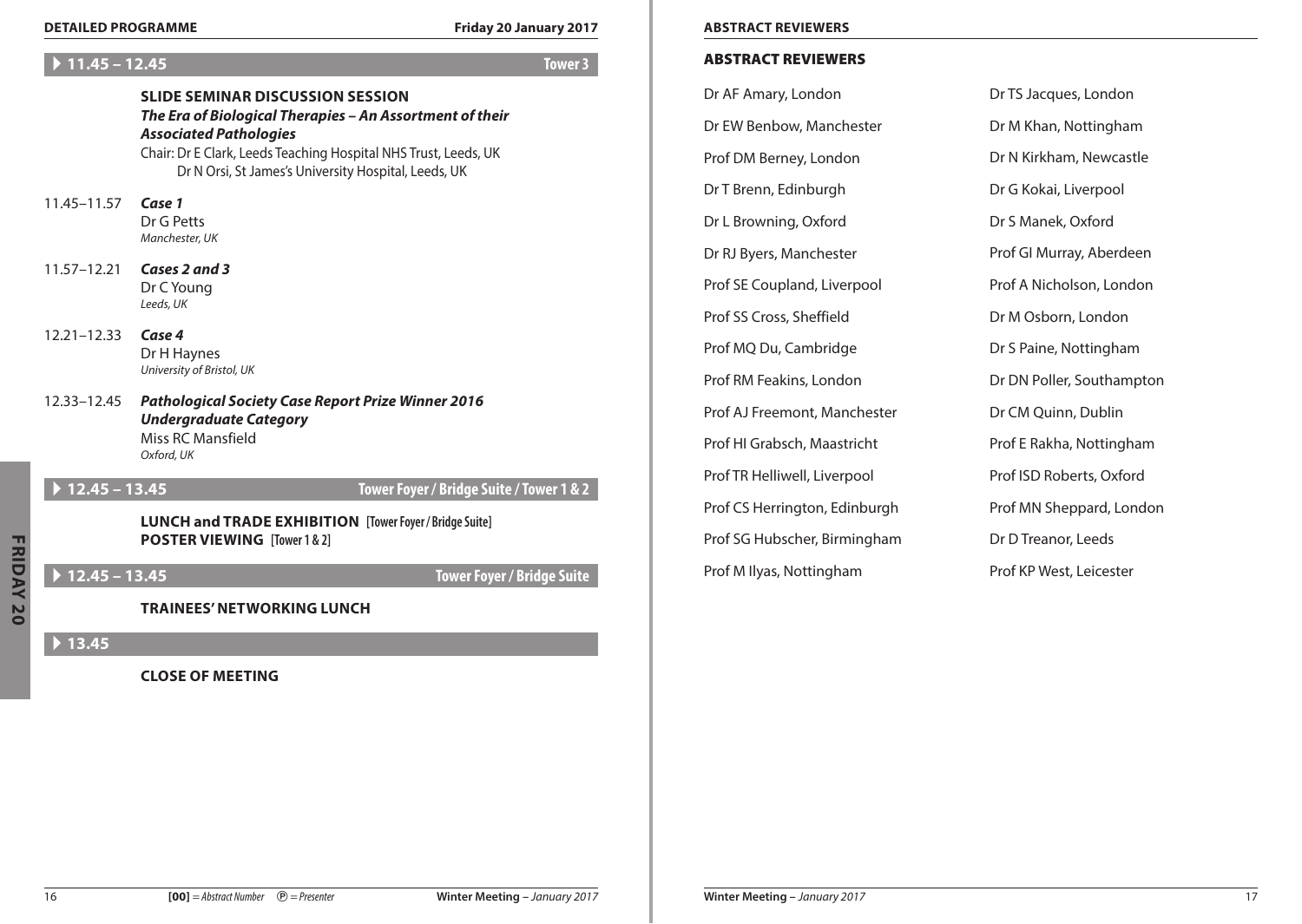#### **Detailed Programme Friday 20 January 2017 Abstract Reviewers**

## A **11.45 – 12.45 Tower 3**

|                        | <b>SLIDE SEMINAR DISCUSSION SESSION</b><br>The Era of Biological Therapies - An Assortment of their<br><b>Associated Pathologies</b><br>Chair: Dr E Clark, Leeds Teaching Hospital NHS Trust, Leeds, UK<br>Dr N Orsi, St James's University Hospital, Leeds, UK |                                          |
|------------------------|-----------------------------------------------------------------------------------------------------------------------------------------------------------------------------------------------------------------------------------------------------------------|------------------------------------------|
| $11.45 - 11.57$ Case 1 | Dr G Petts<br>Manchester, UK                                                                                                                                                                                                                                    |                                          |
|                        | $11.57 - 12.21$ Cases 2 and 3<br>Dr C Young<br>Leeds, UK                                                                                                                                                                                                        |                                          |
| $12.21 - 12.33$ Case 4 | Dr H Haynes<br>University of Bristol, UK                                                                                                                                                                                                                        |                                          |
| 12.33–12.45            | <b>Pathological Society Case Report Prize Winner 2016</b><br><b>Undergraduate Category</b><br>Miss RC Mansfield<br>Oxford, UK                                                                                                                                   |                                          |
| $12.45 - 13.45$        |                                                                                                                                                                                                                                                                 | Tower Foyer / Bridge Suite / Tower 1 & 2 |
|                        | <b>LUNCH and TRADE EXHIBITION</b> [Tower Foyer / Bridge Suite]<br><b>POSTER VIEWING [Tower 1 &amp; 2]</b>                                                                                                                                                       |                                          |

#### Abstract Reviewers

Dr AF Amary, London

Dr EW Benbow, Manchester

Prof DM Berney, London

Dr T Brenn, Edinburgh Dr L Browning, Oxford

Dr RJ Byers, Manchester

Prof SE Coupland, Liverpool

Prof SS Cross, Sheffield

Prof MQ Du, Cambridge

Prof RM Feakins, London Prof AJ Freemont, Manchester Prof HI Grabsch, Maastricht Prof TR Helliwell, Liverpool Prof CS Herrington, Edinburgh

Prof SG Hubscher, Birmingham

Prof M Ilyas, Nottingham

Dr M Khan, Nottingham Dr N Kirkham, Newcastle Dr G Kokai, Liverpool Dr S Manek, Oxford Prof GI Murray, Aberdeen Prof A Nicholson, London Dr M Osborn, London Dr S Paine, Nottingham Dr DN Poller, Southampton Dr CM Quinn, Dublin Prof E Rakha, Nottingham Prof ISD Roberts, Oxford Prof MN Sheppard, London Dr D Treanor, Leeds Prof KP West, Leicester

Dr TS Jacques, London

A **12.45 – 13.45 Tower Foyer / Bridge Suite**

#### **Trainees' Networking Lunch**

## $\blacktriangleright$  13.45

**Close of Meeting**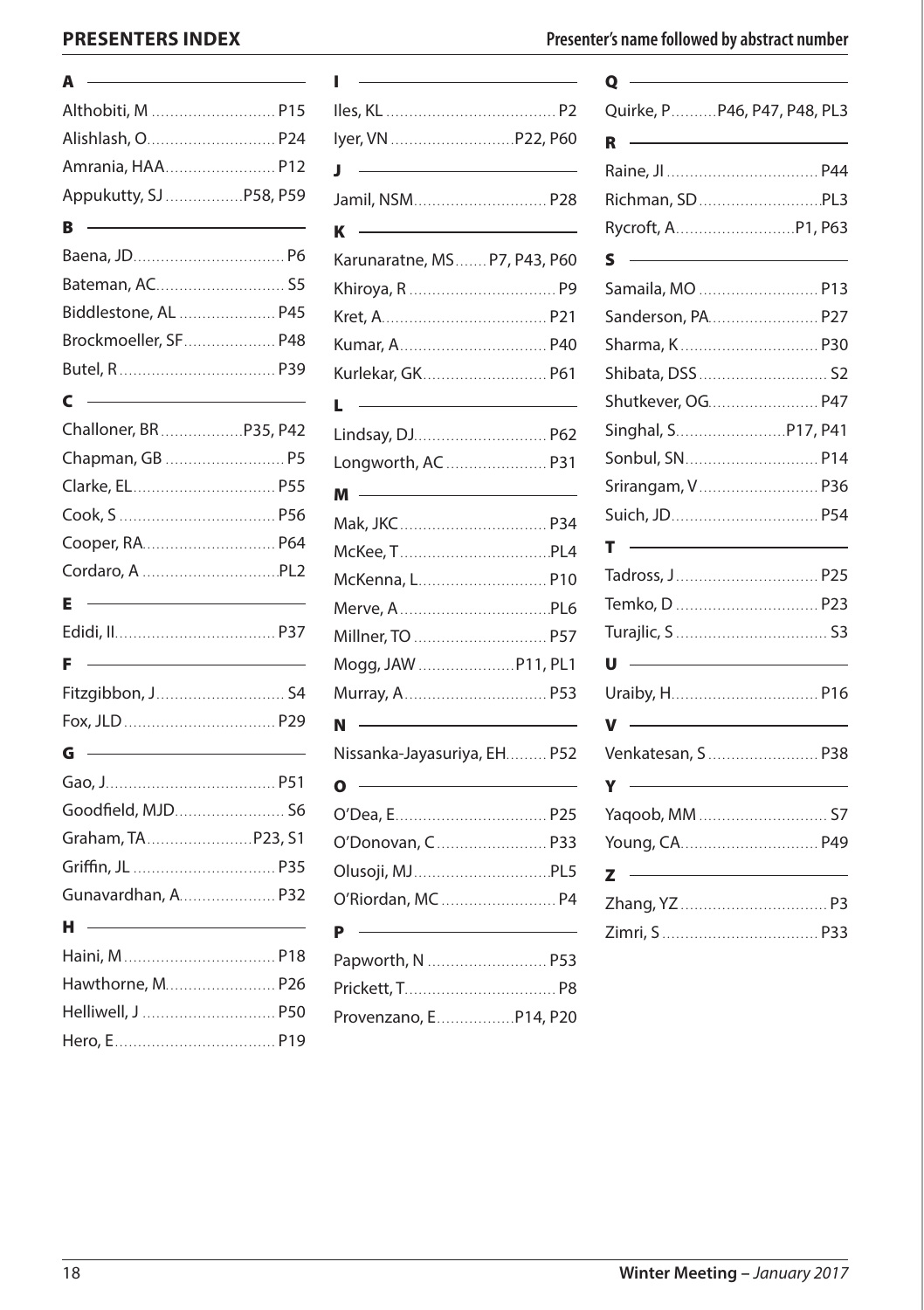| the contract of the contract of the contract of the contract of<br>A                                                                                                                                                                      |  |
|-------------------------------------------------------------------------------------------------------------------------------------------------------------------------------------------------------------------------------------------|--|
| Althobiti, M  P15                                                                                                                                                                                                                         |  |
| Alishlash, O P24                                                                                                                                                                                                                          |  |
| Amrania, HAA P12                                                                                                                                                                                                                          |  |
| Appukutty, SJ  P58, P59                                                                                                                                                                                                                   |  |
| the control of the control of the<br>B                                                                                                                                                                                                    |  |
|                                                                                                                                                                                                                                           |  |
|                                                                                                                                                                                                                                           |  |
| Biddlestone, AL  P45                                                                                                                                                                                                                      |  |
| Brockmoeller, SF P48                                                                                                                                                                                                                      |  |
|                                                                                                                                                                                                                                           |  |
| <u> 1990 - Johann Barnett, fransk politiker (</u><br>C                                                                                                                                                                                    |  |
|                                                                                                                                                                                                                                           |  |
|                                                                                                                                                                                                                                           |  |
|                                                                                                                                                                                                                                           |  |
|                                                                                                                                                                                                                                           |  |
| Cooper, RA P64                                                                                                                                                                                                                            |  |
|                                                                                                                                                                                                                                           |  |
| <u> 1989 - Andrea Stadt, fransk politik (d. 1989)</u><br>E                                                                                                                                                                                |  |
|                                                                                                                                                                                                                                           |  |
| <u> 1989 - Johann Barn, mars and de Branch Barn, mars and de Branch Barn, mars and de Branch Barn, mars and de Br</u><br>F                                                                                                                |  |
|                                                                                                                                                                                                                                           |  |
|                                                                                                                                                                                                                                           |  |
| <u>and the company of the company of the company of the company of the company of the company of the company of the company of the company of the company of the company of the company of the company of the company of the com</u><br>G |  |
|                                                                                                                                                                                                                                           |  |
| Goodfield, MJD S6                                                                                                                                                                                                                         |  |
|                                                                                                                                                                                                                                           |  |
|                                                                                                                                                                                                                                           |  |
| Gunavardhan, A P32                                                                                                                                                                                                                        |  |
| <u> 1989 - Johann Barnett, fransk politik (</u><br>н                                                                                                                                                                                      |  |
|                                                                                                                                                                                                                                           |  |
| Hawthorne, M P26                                                                                                                                                                                                                          |  |
| Helliwell, J  P50                                                                                                                                                                                                                         |  |
|                                                                                                                                                                                                                                           |  |

| <u>and the state of the state of the state of the state of the state of the state of the state of the state of the state of the state of the state of the state of the state of the state of the state of the state of the state</u><br>ı |
|-------------------------------------------------------------------------------------------------------------------------------------------------------------------------------------------------------------------------------------------|
|                                                                                                                                                                                                                                           |
|                                                                                                                                                                                                                                           |
| <u> 1989 - John Harry Harry Harry Harry Harry Harry Harry Harry Harry Harry Harry Harry Harry Harry Harry Harry</u><br>J                                                                                                                  |
| Jamil, NSM P28                                                                                                                                                                                                                            |
| $\kappa$ $\overline{\phantom{a}}$                                                                                                                                                                                                         |
| Karunaratne, MS P7, P43, P60                                                                                                                                                                                                              |
|                                                                                                                                                                                                                                           |
|                                                                                                                                                                                                                                           |
|                                                                                                                                                                                                                                           |
| Kurlekar, GK P61                                                                                                                                                                                                                          |
| <u> 1980 - Andrea Station Barbara, amerikan per</u><br>$\overline{\phantom{0}}$<br>L                                                                                                                                                      |
| Lindsay, DJ P62                                                                                                                                                                                                                           |
| Longworth, AC P31                                                                                                                                                                                                                         |
| the control of the control of the control<br>м                                                                                                                                                                                            |
|                                                                                                                                                                                                                                           |
|                                                                                                                                                                                                                                           |
| McKenna, L.  P10                                                                                                                                                                                                                          |
|                                                                                                                                                                                                                                           |
| Millner, TO  P57                                                                                                                                                                                                                          |
| Mogg, JAW  P11, PL1                                                                                                                                                                                                                       |
|                                                                                                                                                                                                                                           |
| N                                                                                                                                                                                                                                         |
| Nissanka-Jayasuriya, EH P52                                                                                                                                                                                                               |
| $\frac{1}{2}$<br>O                                                                                                                                                                                                                        |
|                                                                                                                                                                                                                                           |
|                                                                                                                                                                                                                                           |
|                                                                                                                                                                                                                                           |
|                                                                                                                                                                                                                                           |
| <u> 1989 - Andrea Stadt, fransk politik (d. 1989)</u><br>P                                                                                                                                                                                |
| Papworth, N  P53                                                                                                                                                                                                                          |
|                                                                                                                                                                                                                                           |
| Provenzano, E P14, P20                                                                                                                                                                                                                    |

**Presenters Index Presenter's name followed by abstract number**

## $\overline{a}$

| Q                                                                                                                            |
|------------------------------------------------------------------------------------------------------------------------------|
| Quirke, P P46, P47, P48, PL3                                                                                                 |
| R                                                                                                                            |
|                                                                                                                              |
|                                                                                                                              |
| Rycroft, AP1, P63                                                                                                            |
| <u> Alexandria de la contentación de la contentación de la contentación de la contentación de la contentación de l</u><br>S. |
| Samaila, MO  P13                                                                                                             |
| Sanderson, PA P27                                                                                                            |
|                                                                                                                              |
|                                                                                                                              |
| Shutkever, OG P47                                                                                                            |
|                                                                                                                              |
|                                                                                                                              |
|                                                                                                                              |
|                                                                                                                              |
| т                                                                                                                            |
|                                                                                                                              |
|                                                                                                                              |
|                                                                                                                              |
| <u> Communication</u><br>U                                                                                                   |
|                                                                                                                              |
| $V \sim$                                                                                                                     |
| Venkatesan, S P38                                                                                                            |
|                                                                                                                              |
|                                                                                                                              |
| Young, CA P49                                                                                                                |
| <u> Albanya (Albanya)</u><br>z                                                                                               |
|                                                                                                                              |
|                                                                                                                              |
|                                                                                                                              |